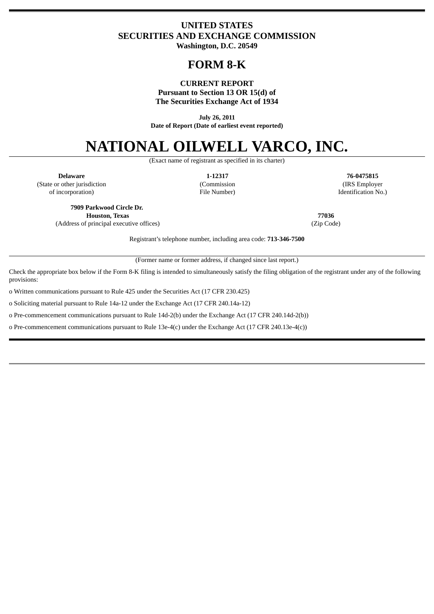# **UNITED STATES SECURITIES AND EXCHANGE COMMISSION Washington, D.C. 20549**

# **FORM 8-K**

#### **CURRENT REPORT Pursuant to Section 13 OR 15(d) of The Securities Exchange Act of 1934**

**July 26, 2011 Date of Report (Date of earliest event reported)**

# **NATIONAL OILWELL VARCO, INC.**

(Exact name of registrant as specified in its charter)

**Delaware 1-12317 76-0475815** (State or other jurisdiction (Commission (IRS Employer of incorporation) File Number) Identification No.)

**7909 Parkwood Circle Dr. Houston, Texas 77036** (Address of principal executive offices) (Zip Code)

Registrant's telephone number, including area code: **713-346-7500**

(Former name or former address, if changed since last report.)

Check the appropriate box below if the Form 8-K filing is intended to simultaneously satisfy the filing obligation of the registrant under any of the following provisions:

o Written communications pursuant to Rule 425 under the Securities Act (17 CFR 230.425)

o Soliciting material pursuant to Rule 14a-12 under the Exchange Act (17 CFR 240.14a-12)

o Pre-commencement communications pursuant to Rule 14d-2(b) under the Exchange Act (17 CFR 240.14d-2(b))

o Pre-commencement communications pursuant to Rule 13e-4(c) under the Exchange Act (17 CFR 240.13e-4(c))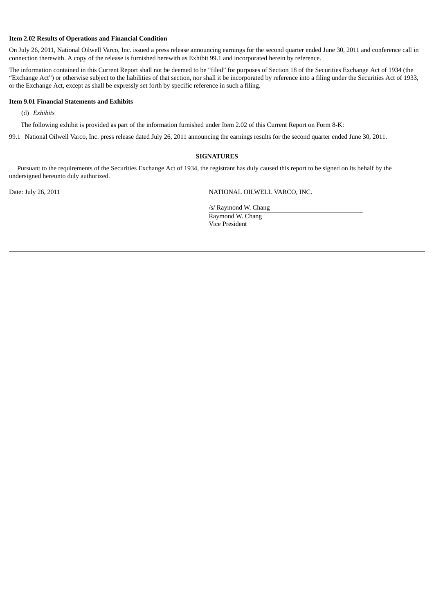#### **Item 2.02 Results of Operations and Financial Condition**

On July 26, 2011, National Oilwell Varco, Inc. issued a press release announcing earnings for the second quarter ended June 30, 2011 and conference call in connection therewith. A copy of the release is furnished herewith as Exhibit 99.1 and incorporated herein by reference.

The information contained in this Current Report shall not be deemed to be "filed" for purposes of Section 18 of the Securities Exchange Act of 1934 (the "Exchange Act") or otherwise subject to the liabilities of that section, nor shall it be incorporated by reference into a filing under the Securities Act of 1933, or the Exchange Act, except as shall be expressly set forth by specific reference in such a filing.

#### **Item 9.01 Financial Statements and Exhibits**

(d) *Exhibits*

The following exhibit is provided as part of the information furnished under Item 2.02 of this Current Report on Form 8-K:

99.1 National Oilwell Varco, Inc. press release dated July 26, 2011 announcing the earnings results for the second quarter ended June 30, 2011.

#### **SIGNATURES**

Pursuant to the requirements of the Securities Exchange Act of 1934, the registrant has duly caused this report to be signed on its behalf by the undersigned hereunto duly authorized.

Date: July 26, 2011 NATIONAL OILWELL VARCO, INC.

/s/ Raymond W. Chang Raymond W. Chang Vice President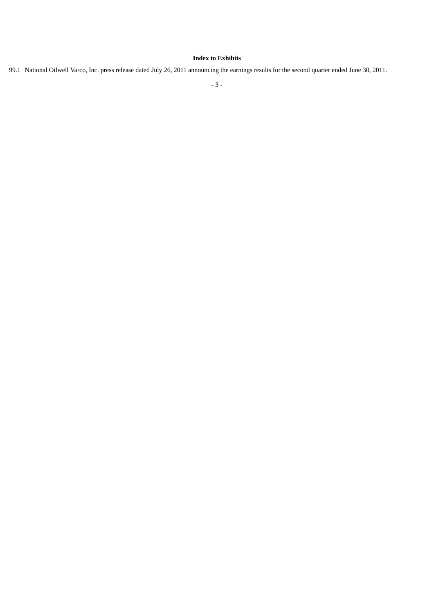### **Index to Exhibits**

99.1 National Oilwell Varco, Inc. press release dated July 26, 2011 announcing the earnings results for the second quarter ended June 30, 2011.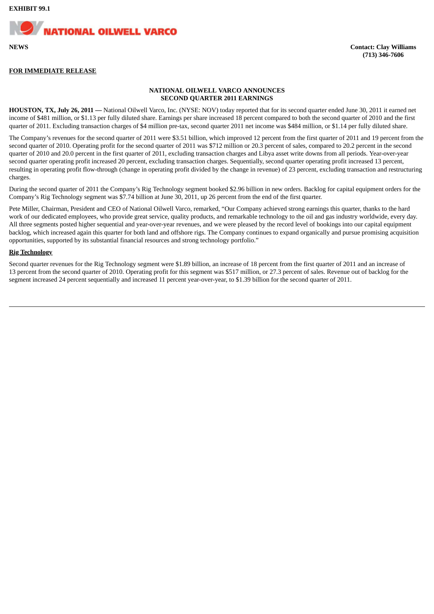

#### **FOR IMMEDIATE RELEASE**

#### **NATIONAL OILWELL VARCO ANNOUNCES SECOND QUARTER 2011 EARNINGS**

**HOUSTON, TX, July 26, 2011 —** National Oilwell Varco, Inc. (NYSE: NOV) today reported that for its second quarter ended June 30, 2011 it earned net income of \$481 million, or \$1.13 per fully diluted share. Earnings per share increased 18 percent compared to both the second quarter of 2010 and the first quarter of 2011. Excluding transaction charges of \$4 million pre-tax, second quarter 2011 net income was \$484 million, or \$1.14 per fully diluted share.

The Company's revenues for the second quarter of 2011 were \$3.51 billion, which improved 12 percent from the first quarter of 2011 and 19 percent from the second quarter of 2010. Operating profit for the second quarter of 2011 was \$712 million or 20.3 percent of sales, compared to 20.2 percent in the second quarter of 2010 and 20.0 percent in the first quarter of 2011, excluding transaction charges and Libya asset write downs from all periods. Year-over-year second quarter operating profit increased 20 percent, excluding transaction charges. Sequentially, second quarter operating profit increased 13 percent, resulting in operating profit flow-through (change in operating profit divided by the change in revenue) of 23 percent, excluding transaction and restructuring charges.

During the second quarter of 2011 the Company's Rig Technology segment booked \$2.96 billion in new orders. Backlog for capital equipment orders for the Company's Rig Technology segment was \$7.74 billion at June 30, 2011, up 26 percent from the end of the first quarter.

Pete Miller, Chairman, President and CEO of National Oilwell Varco, remarked, "Our Company achieved strong earnings this quarter, thanks to the hard work of our dedicated employees, who provide great service, quality products, and remarkable technology to the oil and gas industry worldwide, every day. All three segments posted higher sequential and year-over-year revenues, and we were pleased by the record level of bookings into our capital equipment backlog, which increased again this quarter for both land and offshore rigs. The Company continues to expand organically and pursue promising acquisition opportunities, supported by its substantial financial resources and strong technology portfolio."

#### **Rig Technology**

Second quarter revenues for the Rig Technology segment were \$1.89 billion, an increase of 18 percent from the first quarter of 2011 and an increase of 13 percent from the second quarter of 2010. Operating profit for this segment was \$517 million, or 27.3 percent of sales. Revenue out of backlog for the segment increased 24 percent sequentially and increased 11 percent year-over-year, to \$1.39 billion for the second quarter of 2011.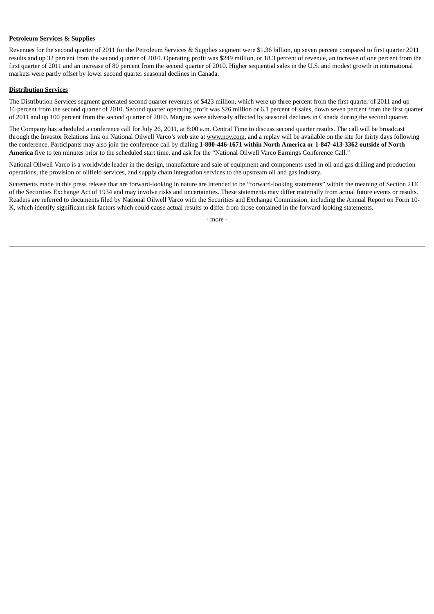#### **Petroleum Services & Supplies**

Revenues for the second quarter of 2011 for the Petroleum Services & Supplies segment were \$1.36 billion, up seven percent compared to first quarter 2011 results and up 32 percent from the second quarter of 2010. Operating profit was \$249 million, or 18.3 percent of revenue, an increase of one percent from the first quarter of 2011 and an increase of 80 percent from the second quarter of 2010. Higher sequential sales in the U.S. and modest growth in international markets were partly offset by lower second quarter seasonal declines in Canada.

#### **Distribution Services**

The Distribution Services segment generated second quarter revenues of \$423 million, which were up three percent from the first quarter of 2011 and up 16 percent from the second quarter of 2010. Second quarter operating profit was \$26 million or 6.1 percent of sales, down seven percent from the first quarter of 2011 and up 100 percent from the second quarter of 2010. Margins were adversely affected by seasonal declines in Canada during the second quarter.

The Company has scheduled a conference call for July 26, 2011, at 8:00 a.m. Central Time to discuss second quarter results. The call will be broadcast through the Investor Relations link on National Oilwell Varco's web site at www.nov.com, and a replay will be available on the site for thirty days following the conference. Participants may also join the conference call by dialing **1-800-446-1671 within North America or 1-847-413-3362 outside of North America** five to ten minutes prior to the scheduled start time, and ask for the "National Oilwell Varco Earnings Conference Call."

National Oilwell Varco is a worldwide leader in the design, manufacture and sale of equipment and components used in oil and gas drilling and production operations, the provision of oilfield services, and supply chain integration services to the upstream oil and gas industry.

Statements made in this press release that are forward-looking in nature are intended to be "forward-looking statements" within the meaning of Section 21E of the Securities Exchange Act of 1934 and may involve risks and uncertainties. These statements may differ materially from actual future events or results. Readers are referred to documents filed by National Oilwell Varco with the Securities and Exchange Commission, including the Annual Report on Form 10- K, which identify significant risk factors which could cause actual results to differ from those contained in the forward-looking statements.

- more -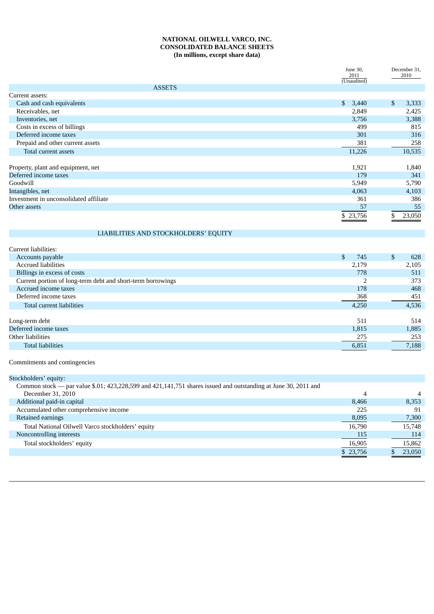#### **NATIONAL OILWELL VARCO, INC. CONSOLIDATED BALANCE SHEETS (In millions, except share data)**

|                                        | June 30,<br>2011      | December 31,<br>2010    |
|----------------------------------------|-----------------------|-------------------------|
|                                        | (Unaudited)           |                         |
| <b>ASSETS</b>                          |                       |                         |
| Current assets:                        |                       |                         |
| Cash and cash equivalents              | $\mathbb{S}$<br>3,440 | $\mathfrak{S}$<br>3,333 |
| Receivables, net                       | 2,849                 | 2,425                   |
| Inventories, net                       | 3,756                 | 3,388                   |
| Costs in excess of billings            | 499                   | 815                     |
| Deferred income taxes                  | 301                   | 316                     |
| Prepaid and other current assets       | 381                   | 258                     |
| Total current assets                   | 11,226                | 10,535                  |
|                                        |                       |                         |
| Property, plant and equipment, net     | 1,921                 | 1,840                   |
| Deferred income taxes                  | 179                   | 341                     |
| Goodwill                               | 5,949                 | 5,790                   |
| Intangibles, net                       | 4,063                 | 4,103                   |
| Investment in unconsolidated affiliate | 361                   | 386                     |
| Other assets                           | 57                    | 55                      |
|                                        | \$23,756              | \$<br>23,050            |

## LIABILITIES AND STOCKHOLDERS' EQUITY

| Current liabilities:                                        |           |     |       |
|-------------------------------------------------------------|-----------|-----|-------|
| Accounts payable                                            | 745<br>\$ | \$. | 628   |
| <b>Accrued liabilities</b>                                  | 2,179     |     | 2,105 |
| Billings in excess of costs                                 | 778       |     | 511   |
| Current portion of long-term debt and short-term borrowings | ר         |     | 373   |
| Accrued income taxes                                        | 178       |     | 468   |
| Deferred income taxes                                       | 368       |     | 451   |
| Total current liabilities                                   | 4,250     |     | 4,536 |
|                                                             |           |     |       |
| Long-term debt                                              | 511       |     | 514   |
| Deferred income taxes                                       | 1,815     |     | 1,885 |
| Other liabilities                                           | 275       |     | 253   |
| <b>Total liabilities</b>                                    | 6,851     |     | 7,188 |
|                                                             |           |     |       |

Commitments and contingencies

| Stockholders' equity:                                                                                          |          |                |
|----------------------------------------------------------------------------------------------------------------|----------|----------------|
| Common stock — par value \$.01; 423,228,599 and 421,141,751 shares issued and outstanding at June 30, 2011 and |          |                |
| December 31, 2010                                                                                              | 4        | $\overline{4}$ |
| Additional paid-in capital                                                                                     | 8.466    | 8,353          |
| Accumulated other comprehensive income                                                                         | 225      | 91             |
| Retained earnings                                                                                              | 8,095    | 7,300          |
| Total National Oilwell Varco stockholders' equity                                                              | 16.790   | 15,748         |
| Noncontrolling interests                                                                                       | 115      | 114            |
| Total stockholders' equity                                                                                     | 16,905   | 15,862         |
|                                                                                                                | \$23,756 | 23,050         |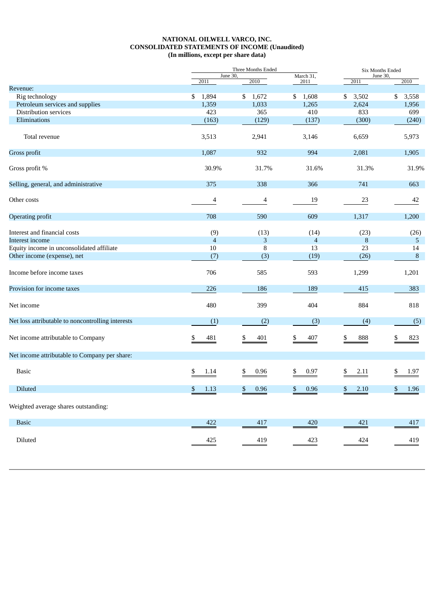#### **NATIONAL OILWELL VARCO, INC. CONSOLIDATED STATEMENTS OF INCOME (Unaudited) (In millions, except per share data)**

|                                                   |                  | Three Months Ended | Six Months Ended  |                  |                 |  |
|---------------------------------------------------|------------------|--------------------|-------------------|------------------|-----------------|--|
|                                                   | June 30,<br>2011 | 2010               | March 31,<br>2011 | June 30,<br>2011 | 2010            |  |
| Revenue:                                          |                  |                    |                   |                  |                 |  |
| Rig technology                                    | \$<br>1,894      | \$<br>1,672        | \$<br>1,608       | \$<br>3,502      | \$<br>3,558     |  |
| Petroleum services and supplies                   | 1,359            | 1,033              | 1,265             | 2,624            | 1,956           |  |
| Distribution services                             | 423              | 365                | 410               | 833              | 699             |  |
| Eliminations                                      | (163)            | (129)              | (137)             | (300)            | (240)           |  |
| Total revenue                                     | 3,513            | 2,941              | 3,146             | 6,659            | 5,973           |  |
| Gross profit                                      | 1,087            | 932                | 994               | 2,081            | 1,905           |  |
| Gross profit %                                    | 30.9%            | 31.7%              | 31.6%             | 31.3%            | 31.9%           |  |
| Selling, general, and administrative              | 375              | 338                | 366               | 741              | 663             |  |
| Other costs                                       | 4                | 4                  | 19                | 23               | 42              |  |
| <b>Operating profit</b>                           | 708              | 590                | 609               | 1,317            | 1,200           |  |
| Interest and financial costs                      | (9)              | (13)               | (14)              | (23)             | (26)            |  |
| Interest income                                   | $\overline{4}$   | 3                  | $\overline{4}$    | 8                | 5               |  |
| Equity income in unconsolidated affiliate         | 10               | 8                  | 13                | 23               | 14              |  |
| Other income (expense), net                       | (7)              | (3)                | (19)              | (26)             | $\, 8$          |  |
| Income before income taxes                        | 706              | 585                | 593               | 1,299            | 1,201           |  |
| Provision for income taxes                        | 226              | 186                | 189               | 415              | 383             |  |
| Net income                                        | 480              | 399                | 404               | 884              | 818             |  |
| Net loss attributable to noncontrolling interests | (1)              | (2)                | (3)               | (4)              | (5)             |  |
| Net income attributable to Company                | \$<br>481        | \$<br>401          | \$<br>407         | \$<br>888        | 823             |  |
| Net income attributable to Company per share:     |                  |                    |                   |                  |                 |  |
| <b>Basic</b>                                      | \$<br>1.14       | 0.96<br>S          | \$<br>0.97        | \$<br>2.11       | 1.97            |  |
| Diluted                                           | \$<br>1.13       | \$<br>0.96         | \$<br>0.96        | \$<br>2.10       | \$<br>1.96      |  |
| Weighted average shares outstanding:              |                  |                    |                   |                  |                 |  |
| <b>Basic</b>                                      | 422              | 417                | 420               | 421              | 417             |  |
| Diluted                                           |                  |                    |                   |                  |                 |  |
|                                                   | $\frac{425}{1}$  | $\frac{419}{2}$    | $\frac{423}{1}$   | $\frac{424}{1}$  | $\frac{419}{2}$ |  |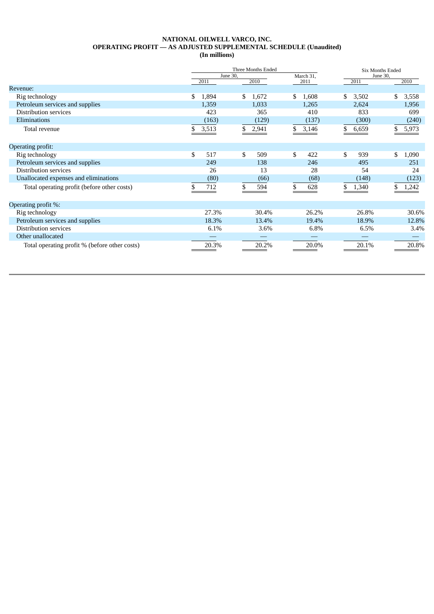# **NATIONAL OILWELL VARCO, INC. OPERATING PROFIT — AS ADJUSTED SUPPLEMENTAL SCHEDULE (Unaudited)**

| (In millions) |  |
|---------------|--|
|---------------|--|

|                                               | Three Months Ended<br>June 30,<br>March 31, |       |    | <b>Six Months Ended</b><br>June 30, |             |    |       |     |       |
|-----------------------------------------------|---------------------------------------------|-------|----|-------------------------------------|-------------|----|-------|-----|-------|
|                                               |                                             | 2011  |    | 2010                                | 2011        |    | 2011  |     | 2010  |
| Revenue:                                      |                                             |       |    |                                     |             |    |       |     |       |
| Rig technology                                | \$                                          | 1,894 | \$ | 1,672                               | \$<br>1,608 | \$ | 3,502 | \$  | 3,558 |
| Petroleum services and supplies               |                                             | 1,359 |    | 1,033                               | 1,265       |    | 2,624 |     | 1,956 |
| Distribution services                         |                                             | 423   |    | 365                                 | 410         |    | 833   |     | 699   |
| Eliminations                                  |                                             | (163) |    | (129)                               | (137)       |    | (300) |     | (240) |
| Total revenue                                 | \$.                                         | 3,513 | \$ | 2,941                               | \$<br>3,146 | \$ | 6,659 | \$. | 5,973 |
| Operating profit:                             |                                             |       |    |                                     |             |    |       |     |       |
| Rig technology                                | \$                                          | 517   | \$ | 509                                 | \$<br>422   | \$ | 939   | \$  | 1,090 |
| Petroleum services and supplies               |                                             | 249   |    | 138                                 | 246         |    | 495   |     | 251   |
| <b>Distribution services</b>                  |                                             | 26    |    | 13                                  | 28          |    | 54    |     | 24    |
| Unallocated expenses and eliminations         |                                             | (80)  |    | (66)                                | (68)        |    | (148) |     | (123) |
| Total operating profit (before other costs)   |                                             | 712   | \$ | 594                                 | 628         | \$ | 1,340 | \$. | 1,242 |
| Operating profit %:                           |                                             |       |    |                                     |             |    |       |     |       |
| Rig technology                                |                                             | 27.3% |    | 30.4%                               | 26.2%       |    | 26.8% |     | 30.6% |
| Petroleum services and supplies               |                                             | 18.3% |    | 13.4%                               | 19.4%       |    | 18.9% |     | 12.8% |
| Distribution services                         |                                             | 6.1%  |    | 3.6%                                | 6.8%        |    | 6.5%  |     | 3.4%  |
| Other unallocated                             |                                             |       |    |                                     |             |    |       |     |       |
| Total operating profit % (before other costs) |                                             | 20.3% |    | 20.2%                               | 20.0%       |    | 20.1% |     | 20.8% |